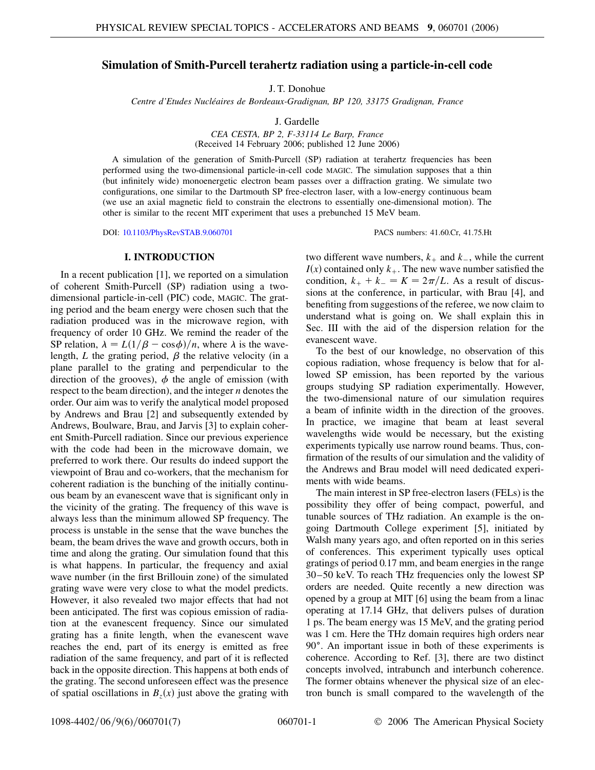## **Simulation of Smith-Purcell terahertz radiation using a particle-in-cell code**

J. T. Donohue

*Centre d'Etudes Nucle´aires de Bordeaux-Gradignan, BP 120, 33175 Gradignan, France*

J. Gardelle

*CEA CESTA, BP 2, F-33114 Le Barp, France* (Received 14 February 2006; published 12 June 2006)

A simulation of the generation of Smith-Purcell (SP) radiation at terahertz frequencies has been performed using the two-dimensional particle-in-cell code MAGIC. The simulation supposes that a thin (but infinitely wide) monoenergetic electron beam passes over a diffraction grating. We simulate two configurations, one similar to the Dartmouth SP free-electron laser, with a low-energy continuous beam (we use an axial magnetic field to constrain the electrons to essentially one-dimensional motion). The other is similar to the recent MIT experiment that uses a prebunched 15 MeV beam.

DOI: [10.1103/PhysRevSTAB.9.060701](http://dx.doi.org/10.1103/PhysRevSTAB.9.060701) PACS numbers: 41.60.Cr, 41.75.Ht

## **I. INTRODUCTION**

In a recent publication [1], we reported on a simulation of coherent Smith-Purcell (SP) radiation using a twodimensional particle-in-cell (PIC) code, MAGIC. The grating period and the beam energy were chosen such that the radiation produced was in the microwave region, with frequency of order 10 GHz. We remind the reader of the SP relation,  $\lambda = L(1/\beta - \cos \phi)/n$ , where  $\lambda$  is the wavelength,  $L$  the grating period,  $\beta$  the relative velocity (in a plane parallel to the grating and perpendicular to the direction of the grooves),  $\phi$  the angle of emission (with respect to the beam direction), and the integer *n* denotes the order. Our aim was to verify the analytical model proposed by Andrews and Brau [2] and subsequently extended by Andrews, Boulware, Brau, and Jarvis [3] to explain coherent Smith-Purcell radiation. Since our previous experience with the code had been in the microwave domain, we preferred to work there. Our results do indeed support the viewpoint of Brau and co-workers, that the mechanism for coherent radiation is the bunching of the initially continuous beam by an evanescent wave that is significant only in the vicinity of the grating. The frequency of this wave is always less than the minimum allowed SP frequency. The process is unstable in the sense that the wave bunches the beam, the beam drives the wave and growth occurs, both in time and along the grating. Our simulation found that this is what happens. In particular, the frequency and axial wave number (in the first Brillouin zone) of the simulated grating wave were very close to what the model predicts. However, it also revealed two major effects that had not been anticipated. The first was copious emission of radiation at the evanescent frequency. Since our simulated grating has a finite length, when the evanescent wave reaches the end, part of its energy is emitted as free radiation of the same frequency, and part of it is reflected back in the opposite direction. This happens at both ends of the grating. The second unforeseen effect was the presence of spatial oscillations in  $B_z(x)$  just above the grating with two different wave numbers,  $k_{+}$  and  $k_{-}$ , while the current  $I(x)$  contained only  $k_{+}$ . The new wave number satisfied the condition,  $k_{+} + k_{-} = K = 2\pi/L$ . As a result of discussions at the conference, in particular, with Brau [4], and benefiting from suggestions of the referee, we now claim to understand what is going on. We shall explain this in Sec. III with the aid of the dispersion relation for the evanescent wave.

To the best of our knowledge, no observation of this copious radiation, whose frequency is below that for allowed SP emission, has been reported by the various groups studying SP radiation experimentally. However, the two-dimensional nature of our simulation requires a beam of infinite width in the direction of the grooves. In practice, we imagine that beam at least several wavelengths wide would be necessary, but the existing experiments typically use narrow round beams. Thus, confirmation of the results of our simulation and the validity of the Andrews and Brau model will need dedicated experiments with wide beams.

The main interest in SP free-electron lasers (FELs) is the possibility they offer of being compact, powerful, and tunable sources of THz radiation. An example is the ongoing Dartmouth College experiment [5], initiated by Walsh many years ago, and often reported on in this series of conferences. This experiment typically uses optical gratings of period 0.17 mm, and beam energies in the range 30–50 keV. To reach THz frequencies only the lowest SP orders are needed. Quite recently a new direction was opened by a group at MIT [6] using the beam from a linac operating at 17.14 GHz, that delivers pulses of duration 1 ps. The beam energy was 15 MeV, and the grating period was 1 cm. Here the THz domain requires high orders near 90. An important issue in both of these experiments is coherence. According to Ref. [3], there are two distinct concepts involved, intrabunch and interbunch coherence. The former obtains whenever the physical size of an electron bunch is small compared to the wavelength of the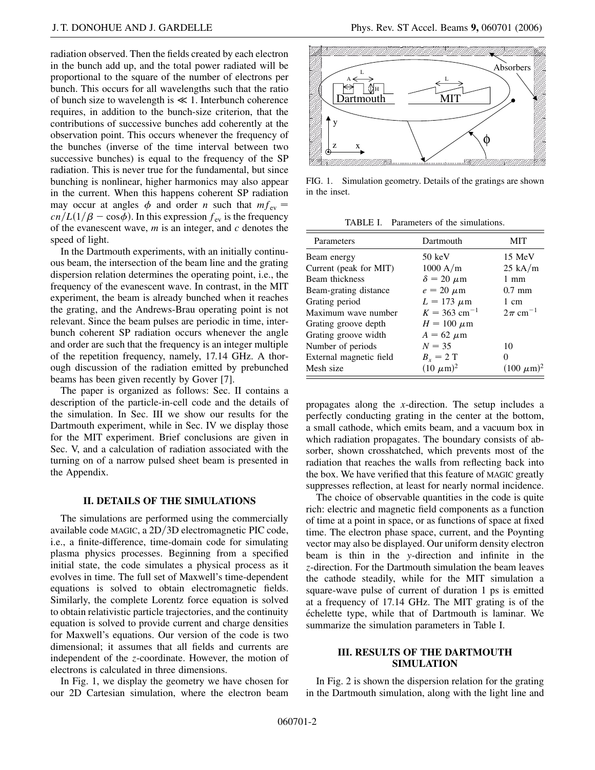radiation observed. Then the fields created by each electron in the bunch add up, and the total power radiated will be proportional to the square of the number of electrons per bunch. This occurs for all wavelengths such that the ratio of bunch size to wavelength is  $\ll 1$ . Interbunch coherence requires, in addition to the bunch-size criterion, that the contributions of successive bunches add coherently at the observation point. This occurs whenever the frequency of the bunches (inverse of the time interval between two successive bunches) is equal to the frequency of the SP radiation. This is never true for the fundamental, but since bunching is nonlinear, higher harmonics may also appear in the current. When this happens coherent SP radiation may occur at angles  $\phi$  and order *n* such that  $mf_{ev} =$  $cn/L(1/\beta - \cos\phi)$ . In this expression  $f_{ev}$  is the frequency of the evanescent wave, *m* is an integer, and *c* denotes the speed of light.

In the Dartmouth experiments, with an initially continuous beam, the intersection of the beam line and the grating dispersion relation determines the operating point, i.e., the frequency of the evanescent wave. In contrast, in the MIT experiment, the beam is already bunched when it reaches the grating, and the Andrews-Brau operating point is not relevant. Since the beam pulses are periodic in time, interbunch coherent SP radiation occurs whenever the angle and order are such that the frequency is an integer multiple of the repetition frequency, namely, 17.14 GHz. A thorough discussion of the radiation emitted by prebunched beams has been given recently by Gover [7].

The paper is organized as follows: Sec. II contains a description of the particle-in-cell code and the details of the simulation. In Sec. III we show our results for the Dartmouth experiment, while in Sec. IV we display those for the MIT experiment. Brief conclusions are given in Sec. V, and a calculation of radiation associated with the turning on of a narrow pulsed sheet beam is presented in the Appendix.

## **II. DETAILS OF THE SIMULATIONS**

The simulations are performed using the commercially available code MAGIC, a 2D/3D electromagnetic PIC code, i.e., a finite-difference, time-domain code for simulating plasma physics processes. Beginning from a specified initial state, the code simulates a physical process as it evolves in time. The full set of Maxwell's time-dependent equations is solved to obtain electromagnetic fields. Similarly, the complete Lorentz force equation is solved to obtain relativistic particle trajectories, and the continuity equation is solved to provide current and charge densities for Maxwell's equations. Our version of the code is two dimensional; it assumes that all fields and currents are independent of the *z*-coordinate. However, the motion of electrons is calculated in three dimensions.

In Fig. 1, we display the geometry we have chosen for our 2D Cartesian simulation, where the electron beam



FIG. 1. Simulation geometry. Details of the gratings are shown in the inset.

| Parameters              | Dartmouth                  | MIT                     |
|-------------------------|----------------------------|-------------------------|
| Beam energy             | $50 \text{ keV}$           | 15 MeV                  |
| Current (peak for MIT)  | 1000 A/m                   | $25 \text{ kA/m}$       |
| Beam thickness          | $\delta = 20 \ \mu m$      | $1 \text{ mm}$          |
| Beam-grating distance   | $e = 20 \mu m$             | $0.7$ mm                |
| Grating period          | $L = 173 \mu m$            | 1 cm                    |
| Maximum wave number     | $K = 363$ cm <sup>-1</sup> | $2\pi$ cm <sup>-1</sup> |
| Grating groove depth    | $H = 100 \mu m$            |                         |
| Grating groove width    | $A = 62 \mu m$             |                         |
| Number of periods       | $N = 35$                   | 10                      |
| External magnetic field | $B_x = 2T$                 | $\mathbf{\Omega}$       |
| Mesh size               | $(10 \ \mu m)^2$           | $(100 \ \mu m)^2$       |

propagates along the *x*-direction. The setup includes a perfectly conducting grating in the center at the bottom, a small cathode, which emits beam, and a vacuum box in which radiation propagates. The boundary consists of absorber, shown crosshatched, which prevents most of the radiation that reaches the walls from reflecting back into the box. We have verified that this feature of MAGIC greatly suppresses reflection, at least for nearly normal incidence.

The choice of observable quantities in the code is quite rich: electric and magnetic field components as a function of time at a point in space, or as functions of space at fixed time. The electron phase space, current, and the Poynting vector may also be displayed. Our uniform density electron beam is thin in the *y*-direction and infinite in the *z*-direction. For the Dartmouth simulation the beam leaves the cathode steadily, while for the MIT simulation a square-wave pulse of current of duration 1 ps is emitted at a frequency of 17.14 GHz. The MIT grating is of the e´chelette type, while that of Dartmouth is laminar. We summarize the simulation parameters in Table I.

# **III. RESULTS OF THE DARTMOUTH SIMULATION**

In Fig. 2 is shown the dispersion relation for the grating in the Dartmouth simulation, along with the light line and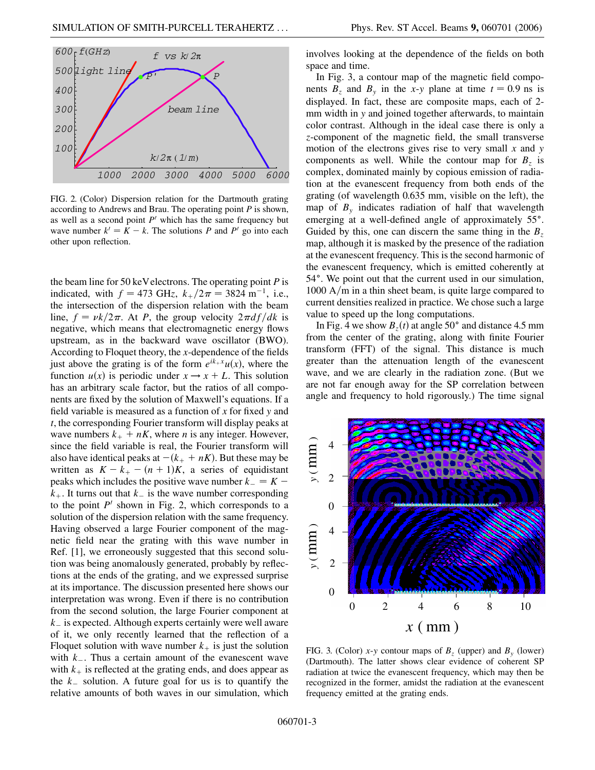

FIG. 2. (Color) Dispersion relation for the Dartmouth grating according to Andrews and Brau. The operating point *P* is shown, as well as a second point  $P'$  which has the same frequency but wave number  $k' = K - k$ . The solutions *P* and *P*<sup>*i*</sup> go into each other upon reflection.

the beam line for 50 keVelectrons. The operating point *P* is indicated, with  $f = 473 \text{ GHz}$ ,  $k_{+}/2\pi = 3824 \text{ m}^{-1}$ , i.e., the intersection of the dispersion relation with the beam line,  $f = \nu k / 2\pi$ . At *P*, the group velocity  $2\pi d f/dk$  is negative, which means that electromagnetic energy flows upstream, as in the backward wave oscillator (BWO). According to Floquet theory, the *x*-dependence of the fields just above the grating is of the form  $e^{ik_+x}u(x)$ , where the function  $u(x)$  is periodic under  $x \rightarrow x + L$ . This solution has an arbitrary scale factor, but the ratios of all components are fixed by the solution of Maxwell's equations. If a field variable is measured as a function of *x* for fixed *y* and *t*, the corresponding Fourier transform will display peaks at wave numbers  $k_{+} + nK$ , where *n* is any integer. However, since the field variable is real, the Fourier transform will also have identical peaks at  $-(k_{+} + nK)$ . But these may be written as  $K - k_+ - (n + 1)K$ , a series of equidistant peaks which includes the positive wave number  $k = K$  $k_{+}$ . It turns out that  $k_{-}$  is the wave number corresponding to the point  $P'$  shown in Fig. 2, which corresponds to a solution of the dispersion relation with the same frequency. Having observed a large Fourier component of the magnetic field near the grating with this wave number in Ref. [1], we erroneously suggested that this second solution was being anomalously generated, probably by reflections at the ends of the grating, and we expressed surprise at its importance. The discussion presented here shows our interpretation was wrong. Even if there is no contribution from the second solution, the large Fourier component at  $k<sub>-</sub>$  is expected. Although experts certainly were well aware of it, we only recently learned that the reflection of a Floquet solution with wave number  $k_{+}$  is just the solution with  $k_{-}$ . Thus a certain amount of the evanescent wave with  $k_{+}$  is reflected at the grating ends, and does appear as the  $k_$  solution. A future goal for us is to quantify the relative amounts of both waves in our simulation, which involves looking at the dependence of the fields on both space and time.

In Fig. 3, a contour map of the magnetic field components  $B_z$  and  $B_y$  in the *x*-*y* plane at time  $t = 0.9$  ns is displayed. In fact, these are composite maps, each of 2 mm width in *y* and joined together afterwards, to maintain color contrast. Although in the ideal case there is only a *z*-component of the magnetic field, the small transverse motion of the electrons gives rise to very small *x* and *y* components as well. While the contour map for  $B_z$  is complex, dominated mainly by copious emission of radiation at the evanescent frequency from both ends of the grating (of wavelength 0.635 mm, visible on the left), the map of  $B_y$  indicates radiation of half that wavelength emerging at a well-defined angle of approximately 55°. Guided by this, one can discern the same thing in the  $B_7$ map, although it is masked by the presence of the radiation at the evanescent frequency. This is the second harmonic of the evanescent frequency, which is emitted coherently at 54. We point out that the current used in our simulation,  $1000$  A/m in a thin sheet beam, is quite large compared to current densities realized in practice. We chose such a large value to speed up the long computations.

In Fig. 4 we show  $B_z(t)$  at angle 50° and distance 4.5 mm from the center of the grating, along with finite Fourier transform (FFT) of the signal. This distance is much greater than the attenuation length of the evanescent wave, and we are clearly in the radiation zone. (But we are not far enough away for the SP correlation between angle and frequency to hold rigorously.) The time signal



FIG. 3. (Color) *x*-*y* contour maps of  $B_z$  (upper) and  $B_y$  (lower) (Dartmouth). The latter shows clear evidence of coherent SP radiation at twice the evanescent frequency, which may then be recognized in the former, amidst the radiation at the evanescent frequency emitted at the grating ends.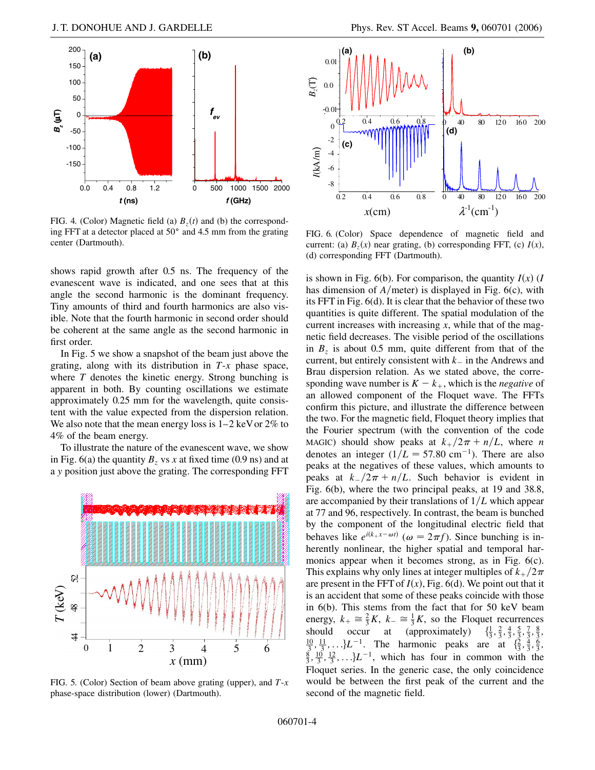

FIG. 4. (Color) Magnetic field (a)  $B_z(t)$  and (b) the corresponding FFT at a detector placed at  $50^{\circ}$  and  $4.5$  mm from the grating center (Dartmouth).

shows rapid growth after 0.5 ns. The frequency of the evanescent wave is indicated, and one sees that at this angle the second harmonic is the dominant frequency. Tiny amounts of third and fourth harmonics are also visible. Note that the fourth harmonic in second order should be coherent at the same angle as the second harmonic in first order.

In Fig. 5 we show a snapshot of the beam just above the grating, along with its distribution in *T*-*x* phase space, where *T* denotes the kinetic energy. Strong bunching is apparent in both. By counting oscillations we estimate approximately 0.25 mm for the wavelength, quite consistent with the value expected from the dispersion relation. We also note that the mean energy loss is  $1-2 \text{ keV}$  or  $2\%$  to 4% of the beam energy.

To illustrate the nature of the evanescent wave, we show in Fig. 6(a) the quantity  $B_z$  vs x at fixed time (0.9 ns) and at a *y* position just above the grating. The corresponding FFT



FIG. 5. (Color) Section of beam above grating (upper), and *T*-*x* phase-space distribution (lower) (Dartmouth).



FIG. 6. (Color) Space dependence of magnetic field and current: (a)  $B_z(x)$  near grating, (b) corresponding FFT, (c)  $I(x)$ , (d) corresponding FFT (Dartmouth).

is shown in Fig. 6(b). For comparison, the quantity  $I(x)$  (*I* has dimension of *A*/meter) is displayed in Fig. 6(c), with its FFT in Fig. 6(d). It is clear that the behavior of these two quantities is quite different. The spatial modulation of the current increases with increasing *x*, while that of the magnetic field decreases. The visible period of the oscillations in  $B<sub>z</sub>$  is about 0.5 mm, quite different from that of the current, but entirely consistent with  $k_{-}$  in the Andrews and Brau dispersion relation. As we stated above, the corresponding wave number is  $K - k_+$ , which is the *negative* of an allowed component of the Floquet wave. The FFTs confirm this picture, and illustrate the difference between the two. For the magnetic field, Floquet theory implies that the Fourier spectrum (with the convention of the code MAGIC) should show peaks at  $k_{+}/2\pi + n/L$ , where *n* denotes an integer  $(1/L = 57.80 \text{ cm}^{-1})$ . There are also peaks at the negatives of these values, which amounts to peaks at  $k_{-}/2\pi + n/L$ . Such behavior is evident in Fig. 6(b), where the two principal peaks, at 19 and 38.8, are accompanied by their translations of  $1/L$  which appear at 77 and 96, respectively. In contrast, the beam is bunched by the component of the longitudinal electric field that behaves like  $e^{i(k+x-\omega t)}$  ( $\omega = 2\pi f$ ). Since bunching is inherently nonlinear, the higher spatial and temporal harmonics appear when it becomes strong, as in Fig. 6(c). This explains why only lines at integer multiples of  $k_{+}/2\pi$ are present in the FFT of  $I(x)$ , Fig. 6(d). We point out that it is an accident that some of these peaks coincide with those in 6(b). This stems from the fact that for 50 keV beam energy,  $k_+ \approx \frac{2}{3}K$ ,  $k_- \approx \frac{1}{3}K$ , so the Floquet recurrences should occur at (approximately)  $\{\frac{1}{3}, \frac{2}{3}, \frac{4}{3}, \frac{5}{3}, \frac{7}{3}, \frac{8}{3}\}$ should occur at (approximately)  $\{\frac{1}{3}, \frac{2}{3}, \frac{4}{3}, \frac{5}{3}, \frac{7}{3}, \frac{8}{3}, \frac{10}{3}, \frac{11}{3}, ...\}L^{-1}$ . The harmonic peaks are at  $\{\frac{2}{3}, \frac{4}{3}, \frac{6}{3}, \frac{6}{3}, ...\}L^{-1}$ , which has four in common with the Floquet series. In the generic case, the only coincidence would be between the first peak of the current and the second of the magnetic field.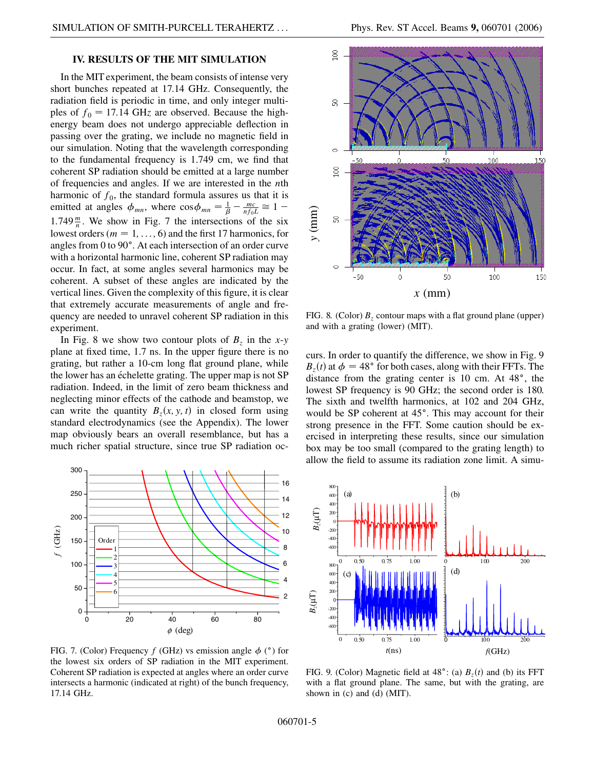## **IV. RESULTS OF THE MIT SIMULATION**

In the MIT experiment, the beam consists of intense very short bunches repeated at 17.14 GHz. Consequently, the radiation field is periodic in time, and only integer multiples of  $f_0 = 17.14 \text{ GHz}$  are observed. Because the highenergy beam does not undergo appreciable deflection in passing over the grating, we include no magnetic field in our simulation. Noting that the wavelength corresponding to the fundamental frequency is 1.749 cm, we find that coherent SP radiation should be emitted at a large number of frequencies and angles. If we are interested in the *n*th harmonic of  $f_0$ , the standard formula assures us that it is emitted at angles  $\phi_{mn}$ , where  $\cos \phi_{mn} = \frac{1}{\beta} - \frac{mc}{nf_0L} \approx 1 - \frac{mc}{f_0L}$ 1.749 $\frac{m}{n}$ . We show in Fig. 7 the intersections of the six lowest orders ( $m = 1, \ldots, 6$ ) and the first 17 harmonics, for angles from 0 to 90°. At each intersection of an order curve with a horizontal harmonic line, coherent SP radiation may occur. In fact, at some angles several harmonics may be coherent. A subset of these angles are indicated by the vertical lines. Given the complexity of this figure, it is clear that extremely accurate measurements of angle and frequency are needed to unravel coherent SP radiation in this experiment.

In Fig. 8 we show two contour plots of  $B_7$  in the *x*-*y* plane at fixed time, 1.7 ns. In the upper figure there is no grating, but rather a 10-cm long flat ground plane, while the lower has an échelette grating. The upper map is not SP radiation. Indeed, in the limit of zero beam thickness and neglecting minor effects of the cathode and beamstop, we can write the quantity  $B_z(x, y, t)$  in closed form using standard electrodynamics (see the Appendix). The lower map obviously bears an overall resemblance, but has a much richer spatial structure, since true SP radiation oc-



FIG. 7. (Color) Frequency  $f$  (GHz) vs emission angle  $\phi$  ( $\degree$ ) for the lowest six orders of SP radiation in the MIT experiment. Coherent SP radiation is expected at angles where an order curve intersects a harmonic (indicated at right) of the bunch frequency, 17.14 GHz.



FIG. 8. (Color)  $B_z$  contour maps with a flat ground plane (upper) and with a grating (lower) (MIT).

curs. In order to quantify the difference, we show in Fig. 9  $B_z(t)$  at  $\phi = 48^\circ$  for both cases, along with their FFTs. The distance from the grating center is 10 cm. At  $48^\circ$ , the lowest SP frequency is 90 GHz; the second order is 180. The sixth and twelfth harmonics, at 102 and 204 GHz, would be SP coherent at  $45^\circ$ . This may account for their strong presence in the FFT. Some caution should be exercised in interpreting these results, since our simulation box may be too small (compared to the grating length) to allow the field to assume its radiation zone limit. A simu-



FIG. 9. (Color) Magnetic field at  $48^\circ$ : (a)  $B_z(t)$  and (b) its FFT with a flat ground plane. The same, but with the grating, are shown in (c) and (d) (MIT).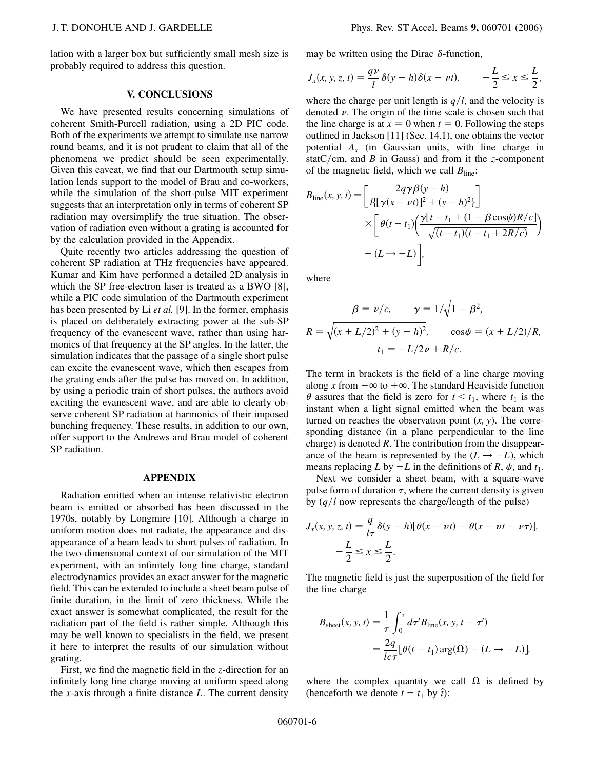lation with a larger box but sufficiently small mesh size is probably required to address this question.

#### **V. CONCLUSIONS**

We have presented results concerning simulations of coherent Smith-Purcell radiation, using a 2D PIC code. Both of the experiments we attempt to simulate use narrow round beams, and it is not prudent to claim that all of the phenomena we predict should be seen experimentally. Given this caveat, we find that our Dartmouth setup simulation lends support to the model of Brau and co-workers, while the simulation of the short-pulse MIT experiment suggests that an interpretation only in terms of coherent SP radiation may oversimplify the true situation. The observation of radiation even without a grating is accounted for by the calculation provided in the Appendix.

Quite recently two articles addressing the question of coherent SP radiation at THz frequencies have appeared. Kumar and Kim have performed a detailed 2D analysis in which the SP free-electron laser is treated as a BWO [8], while a PIC code simulation of the Dartmouth experiment has been presented by Li *et al.* [9]. In the former, emphasis is placed on deliberately extracting power at the sub-SP frequency of the evanescent wave, rather than using harmonics of that frequency at the SP angles. In the latter, the simulation indicates that the passage of a single short pulse can excite the evanescent wave, which then escapes from the grating ends after the pulse has moved on. In addition, by using a periodic train of short pulses, the authors avoid exciting the evanescent wave, and are able to clearly observe coherent SP radiation at harmonics of their imposed bunching frequency. These results, in addition to our own, offer support to the Andrews and Brau model of coherent SP radiation.

#### **APPENDIX**

Radiation emitted when an intense relativistic electron beam is emitted or absorbed has been discussed in the 1970s, notably by Longmire [10]. Although a charge in uniform motion does not radiate, the appearance and disappearance of a beam leads to short pulses of radiation. In the two-dimensional context of our simulation of the MIT experiment, with an infinitely long line charge, standard electrodynamics provides an exact answer for the magnetic field. This can be extended to include a sheet beam pulse of finite duration, in the limit of zero thickness. While the exact answer is somewhat complicated, the result for the radiation part of the field is rather simple. Although this may be well known to specialists in the field, we present it here to interpret the results of our simulation without grating.

First, we find the magnetic field in the *z*-direction for an infinitely long line charge moving at uniform speed along the *x*-axis through a finite distance *L*. The current density may be written using the Dirac  $\delta$ -function,

$$
J_x(x, y, z, t) = \frac{qv}{l} \delta(y - h) \delta(x - vt), \qquad -\frac{L}{2} \le x \le \frac{L}{2},
$$

where the charge per unit length is  $q/l$ , and the velocity is denoted  $\nu$ . The origin of the time scale is chosen such that the line charge is at  $x = 0$  when  $t = 0$ . Following the steps outlined in Jackson [11] (Sec. 14.1), one obtains the vector potential *Ax* (in Gaussian units, with line charge in stat $C/cm$ , and *B* in Gauss) and from it the *z*-component of the magnetic field, which we call *B*line:

$$
B_{\text{line}}(x, y, t) = \left[\frac{2q\gamma\beta(y - h)}{l\{\left[\gamma(x - \nu t)\right]^2 + (y - h)^2\}}\right] \times \left[\theta(t - t_1)\left(\frac{\gamma[t - t_1 + (1 - \beta \cos\psi)R/c]}{\sqrt{(t - t_1)(t - t_1 + 2R/c)}}\right) - (L \rightarrow -L)\right],
$$

where

$$
\beta = \nu/c, \qquad \gamma = 1/\sqrt{1 - \beta^2},
$$
  

$$
R = \sqrt{(x + L/2)^2 + (y - h)^2}, \qquad \cos \psi = (x + L/2)/R,
$$
  

$$
t_1 = -L/2\nu + R/c.
$$

The term in brackets is the field of a line charge moving along x from  $-\infty$  to  $+\infty$ . The standard Heaviside function  $\theta$  assures that the field is zero for  $t < t_1$ , where  $t_1$  is the instant when a light signal emitted when the beam was turned on reaches the observation point  $(x, y)$ . The corresponding distance (in a plane perpendicular to the line charge) is denoted *R*. The contribution from the disappearance of the beam is represented by the  $(L \rightarrow -L)$ , which means replacing *L* by  $-L$  in the definitions of *R*,  $\psi$ , and  $t_1$ .

Next we consider a sheet beam, with a square-wave pulse form of duration  $\tau$ , where the current density is given by  $\left(\frac{q}{l} \text{ now represents the charge/length of the pulse}\right)$ 

$$
J_x(x, y, z, t) = \frac{q}{l\tau} \delta(y - h) [\theta(x - vt) - \theta(x - vt - \nu\tau)],
$$
  

$$
-\frac{L}{2} \le x \le \frac{L}{2}.
$$

The magnetic field is just the superposition of the field for the line charge

$$
B_{\text{sheet}}(x, y, t) = \frac{1}{\tau} \int_0^{\tau} d\tau' B_{\text{line}}(x, y, t - \tau')
$$
  
= 
$$
\frac{2q}{l c \tau} [\theta(t - t_1) \arg(\Omega) - (L \to -L)],
$$

where the complex quantity we call  $\Omega$  is defined by (henceforth we denote  $t - t_1$  by  $\hat{t}$ ):